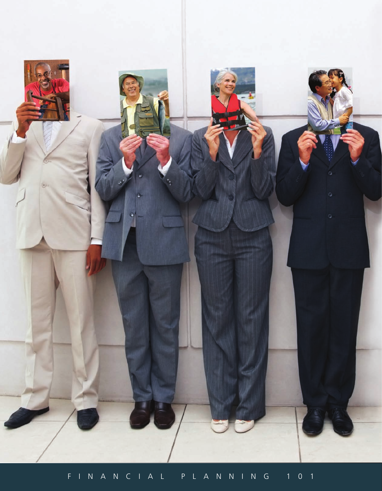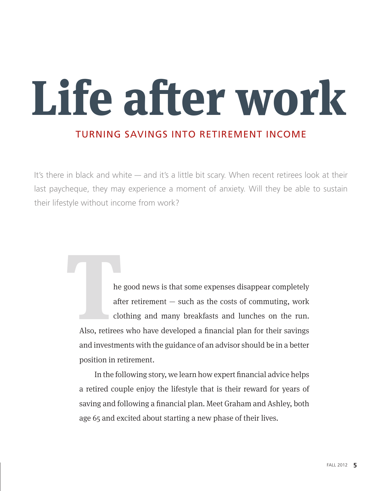# **Life after work**

### Turning savings into retirement income

It's there in black and white — and it's a little bit scary. When recent retirees look at their last paycheque, they may experience a moment of anxiety. Will they be able to sustain their lifestyle without income from work?

> he good news is that some expenses disappear completely after retirement  $-$  such as the costs of commuting, work clothing and many breakfasts and lunches on the run. Also, retirees who have developed a financial plan for their savings and investments with the guidance of an advisor should be in a better position in retirement. **THE SET SERVER SERVER SERVER SERVER SERVER SERVER SERVER SERVER SERVER SERVER SERVER SERVER SERVER SERVER SERVER SERVER SERVER SERVER SERVER SERVER SERVER SERVER SERVER SERVER SERVER SERVER SERVER SERVER SERVER SERVER SER**

In the following story, we learn how expert financial advice helps a retired couple enjoy the lifestyle that is their reward for years of saving and following a financial plan. Meet Graham and Ashley, both age 65 and excited about starting a new phase of their lives.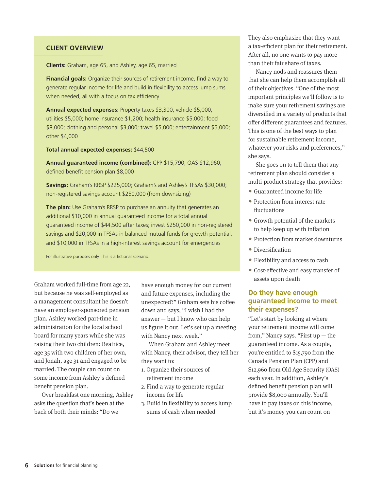#### **Client overview**

**Clients:** Graham, age 65, and Ashley, age 65, married

**Financial goals:** Organize their sources of retirement income, find a way to generate regular income for life and build in flexibility to access lump sums when needed, all with a focus on tax efficiency

**Annual expected expenses:** Property taxes \$3,300; vehicle \$5,000; utilities \$5,000; home insurance \$1,200; health insurance \$5,000; food \$8,000; clothing and personal \$3,000; travel \$5,000; entertainment \$5,000; other \$4,000

**Total annual expected expenses:** \$44,500

**Annual guaranteed income (combined):** CPP \$15,790; OAS \$12,960; defined benefit pension plan \$8,000

**Savings:** Graham's RRSP \$225,000; Graham's and Ashley's TFSAs \$30,000; non-registered savings account \$250,000 (from downsizing)

**The plan:** Use Graham's RRSP to purchase an annuity that generates an additional \$10,000 in annual guaranteed income for a total annual guaranteed income of \$44,500 after taxes; invest \$250,000 in non-registered savings and \$20,000 in TFSAs in balanced mutual funds for growth potential, and \$10,000 in TFSAs in a high-interest savings account for emergencies

For illustrative purposes only. This is a fictional scenario.

Graham worked full-time from age 22, but because he was self-employed as a management consultant he doesn't have an employer-sponsored pension plan. Ashley worked part-time in administration for the local school board for many years while she was raising their two children: Beatrice, age 35 with two children of her own, and Jonah, age 31 and engaged to be married. The couple can count on some income from Ashley's defined benefit pension plan.

Over breakfast one morning, Ashley asks the question that's been at the back of both their minds: "Do we

have enough money for our current and future expenses, including the unexpected?" Graham sets his coffee down and says, "I wish I had the answer — but I know who can help us figure it out. Let's set up a meeting with Nancy next week."

When Graham and Ashley meet with Nancy, their advisor, they tell her they want to:

- 1. Organize their sources of retirement income
- 2. Find a way to generate regular income for life
- 3. Build in flexibility to access lump sums of cash when needed

They also emphasize that they want a tax-efficient plan for their retirement. After all, no one wants to pay more than their fair share of taxes.

Nancy nods and reassures them that she can help them accomplish all of their objectives. "One of the most important principles we'll follow is to make sure your retirement savings are diversified in a variety of products that offer different guarantees and features. This is one of the best ways to plan for sustainable retirement income, whatever your risks and preferences," she says.

She goes on to tell them that any retirement plan should consider a multi-product strategy that provides:

- ∙ Guaranteed income for life
- ∙ Protection from interest rate fluctuations
- ∙ Growth potential of the markets to help keep up with inflation
- ∙ Protection from market downturns
- ∙ Diversification
- ∙ Flexibility and access to cash
- ∙ Cost-effective and easy transfer of assets upon death

#### **Do they have enough guaranteed income to meet their expenses?**

"Let's start by looking at where your retirement income will come from," Nancy says. "First  $up$  – the guaranteed income. As a couple, you're entitled to \$15,790 from the Canada Pension Plan (CPP) and \$12,960 from Old Age Security (OAS) each year. In addition, Ashley's defined benefit pension plan will provide \$8,000 annually. You'll have to pay taxes on this income, but it's money you can count on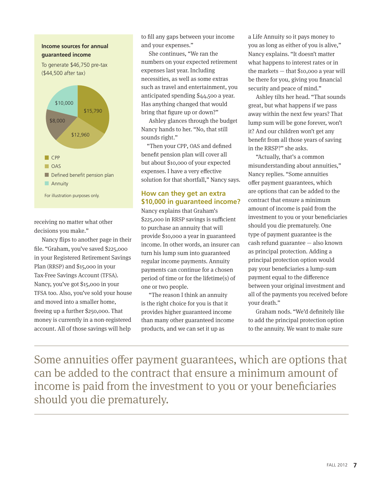#### **Income sources for annual guaranteed income**

To generate \$46,750 pre-tax (\$44,500 after tax)



receiving no matter what other decisions you make."

Nancy flips to another page in their file. "Graham, you've saved \$225,000 in your Registered Retirement Savings Plan (RRSP) and \$15,000 in your Tax-Free Savings Account (TFSA). Nancy, you've got \$15,000 in your TFSA too. Also, you've sold your house and moved into a smaller home, freeing up a further \$250,000. That money is currently in a non-registered account. All of those savings will help

to fill any gaps between your income and your expenses."

She continues, "We ran the numbers on your expected retirement expenses last year. Including necessities, as well as some extras such as travel and entertainment, you anticipated spending \$44,500 a year. Has anything changed that would bring that figure up or down?"

Ashley glances through the budget Nancy hands to her. "No, that still sounds right."

"Then your CPP, OAS and defined benefit pension plan will cover all but about \$10,000 of your expected expenses. I have a very effective solution for that shortfall," Nancy says.

#### **How can they get an extra \$10,000 in guaranteed income?**

Nancy explains that Graham's \$225,000 in RRSP savings is sufficient to purchase an annuity that will provide \$10,000 a year in guaranteed income. In other words, an insurer can turn his lump sum into guaranteed regular income payments. Annuity payments can continue for a chosen period of time or for the lifetime(s) of one or two people.

"The reason I think an annuity is the right choice for you is that it provides higher guaranteed income than many other guaranteed income products, and we can set it up as

a Life Annuity so it pays money to you as long as either of you is alive," Nancy explains. "It doesn't matter what happens to interest rates or in the markets — that \$10,000 a year will be there for you, giving you financial security and peace of mind."

Ashley tilts her head. "That sounds great, but what happens if we pass away within the next few years? That lump sum will be gone forever, won't it? And our children won't get any benefit from all those years of saving in the RRSP?" she asks.

"Actually, that's a common misunderstanding about annuities," Nancy replies. "Some annuities offer payment guarantees, which are options that can be added to the contract that ensure a minimum amount of income is paid from the investment to you or your beneficiaries should you die prematurely. One type of payment guarantee is the cash refund guarantee — also known as principal protection. Adding a principal protection option would pay your beneficiaries a lump-sum payment equal to the difference between your original investment and all of the payments you received before your death."

Graham nods. "We'd definitely like to add the principal protection option to the annuity. We want to make sure

Some annuities offer payment guarantees, which are options that can be added to the contract that ensure a minimum amount of income is paid from the investment to you or your beneficiaries should you die prematurely.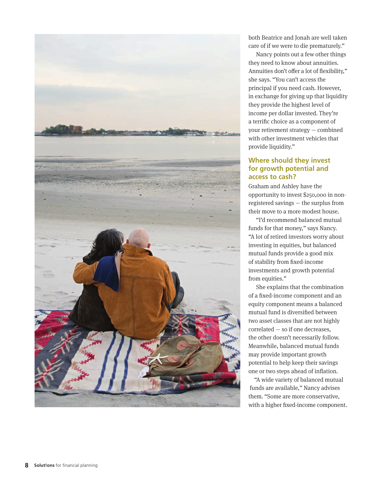

both Beatrice and Jonah are well taken care of if we were to die prematurely."

Nancy points out a few other things they need to know about annuities. Annuities don't offer a lot of flexibility," she says. "You can't access the principal if you need cash. However, in exchange for giving up that liquidity they provide the highest level of income per dollar invested. They're a terrific choice as a component of your retirement strategy — combined with other investment vehicles that provide liquidity."

#### **Where should they invest for growth potential and access to cash?**

Graham and Ashley have the opportunity to invest \$250,000 in nonregistered savings — the surplus from their move to a more modest house.

"I'd recommend balanced mutual funds for that money," says Nancy. "A lot of retired investors worry about investing in equities, but balanced mutual funds provide a good mix of stability from fixed-income investments and growth potential from equities."

She explains that the combination of a fixed-income component and an equity component means a balanced mutual fund is diversified between two asset classes that are not highly correlated — so if one decreases, the other doesn't necessarily follow. Meanwhile, balanced mutual funds may provide important growth potential to help keep their savings one or two steps ahead of inflation.

"A wide variety of balanced mutual funds are available," Nancy advises them. "Some are more conservative, with a higher fixed-income component.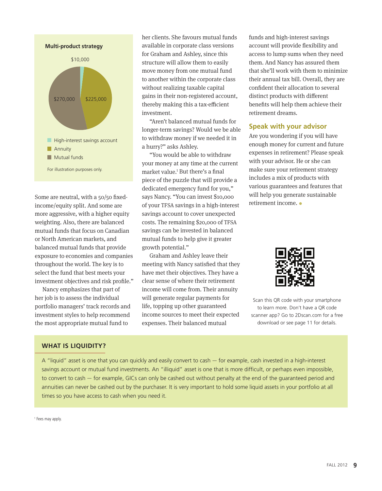

Some are neutral, with a 50/50 fixedincome/equity split. And some are more aggressive, with a higher equity weighting. Also, there are balanced mutual funds that focus on Canadian or North American markets, and balanced mutual funds that provide exposure to economies and companies throughout the world. The key is to select the fund that best meets your investment objectives and risk profile."

Nancy emphasizes that part of her job is to assess the individual portfolio managers' track records and investment styles to help recommend the most appropriate mutual fund to

her clients. She favours mutual funds available in corporate class versions for Graham and Ashley, since this structure will allow them to easily move money from one mutual fund to another within the corporate class without realizing taxable capital gains in their non-registered account, thereby making this a tax-efficient investment.

"Aren't balanced mutual funds for longer-term savings? Would we be able to withdraw money if we needed it in a hurry?" asks Ashley.

"You would be able to withdraw your money at any time at the current market value.<sup>1</sup> But there's a final piece of the puzzle that will provide a dedicated emergency fund for you," says Nancy. "You can invest \$10,000 of your TFSA savings in a high-interest savings account to cover unexpected costs. The remaining \$20,000 of TFSA savings can be invested in balanced mutual funds to help give it greater growth potential."

Graham and Ashley leave their meeting with Nancy satisfied that they have met their objectives. They have a clear sense of where their retirement income will come from. Their annuity will generate regular payments for life, topping up other guaranteed income sources to meet their expected expenses. Their balanced mutual

funds and high-interest savings account will provide flexibility and access to lump sums when they need them. And Nancy has assured them that she'll work with them to minimize their annual tax bill. Overall, they are confident their allocation to several distinct products with different benefits will help them achieve their retirement dreams.

#### **Speak with your advisor**

Are you wondering if you will have enough money for current and future expenses in retirement? Please speak with your advisor. He or she can make sure your retirement strategy includes a mix of products with various guarantees and features that will help you generate sustainable retirement income. **•**



Scan this QR code with your smartphone to learn more. Don't have a QR code scanner app? Go to 2Dscan.com for a free download or see page 11 for details.

#### **What is liquidity?**

A "liquid" asset is one that you can quickly and easily convert to cash — for example, cash invested in a high-interest savings account or mutual fund investments. An "illiquid" asset is one that is more difficult, or perhaps even impossible, to convert to cash — for example, GICs can only be cashed out without penalty at the end of the quaranteed period and annuities can never be cashed out by the purchaser. It is very important to hold some liquid assets in your portfolio at all times so you have access to cash when you need it.

<sup>1</sup> Fees may apply.